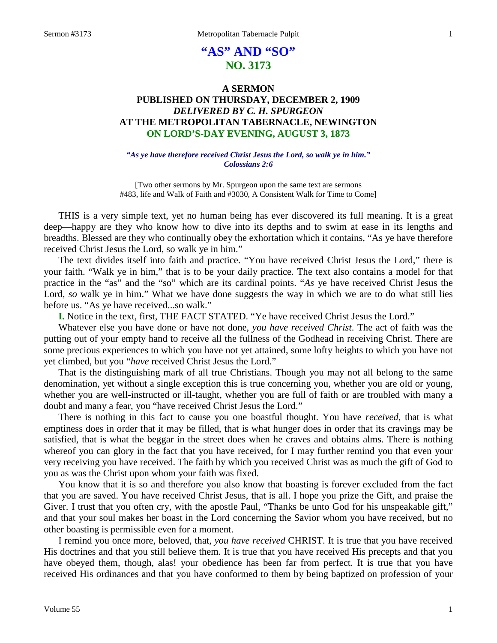# **"AS" AND "SO" NO. 3173**

## **A SERMON PUBLISHED ON THURSDAY, DECEMBER 2, 1909** *DELIVERED BY C. H. SPURGEON* **AT THE METROPOLITAN TABERNACLE, NEWINGTON ON LORD'S-DAY EVENING, AUGUST 3, 1873**

*"As ye have therefore received Christ Jesus the Lord, so walk ye in him." Colossians 2:6*

[Two other sermons by Mr. Spurgeon upon the same text are sermons #483, life and Walk of Faith and #3030, A Consistent Walk for Time to Come]

THIS is a very simple text, yet no human being has ever discovered its full meaning. It is a great deep—happy are they who know how to dive into its depths and to swim at ease in its lengths and breadths. Blessed are they who continually obey the exhortation which it contains, "As ye have therefore received Christ Jesus the Lord, so walk ye in him."

The text divides itself into faith and practice. "You have received Christ Jesus the Lord," there is your faith. "Walk ye in him," that is to be your daily practice. The text also contains a model for that practice in the "as" and the "so" which are its cardinal points. "*As* ye have received Christ Jesus the Lord, so walk ye in him." What we have done suggests the way in which we are to do what still lies before us. "As ye have received...so walk."

**I.** Notice in the text, first, THE FACT STATED. "Ye have received Christ Jesus the Lord."

Whatever else you have done or have not done, *you have received Christ*. The act of faith was the putting out of your empty hand to receive all the fullness of the Godhead in receiving Christ. There are some precious experiences to which you have not yet attained, some lofty heights to which you have not yet climbed, but you "*have* received Christ Jesus the Lord."

That is the distinguishing mark of all true Christians. Though you may not all belong to the same denomination, yet without a single exception this is true concerning you, whether you are old or young, whether you are well-instructed or ill-taught, whether you are full of faith or are troubled with many a doubt and many a fear, you "have received Christ Jesus the Lord."

There is nothing in this fact to cause you one boastful thought. You have *received*, that is what emptiness does in order that it may be filled, that is what hunger does in order that its cravings may be satisfied, that is what the beggar in the street does when he craves and obtains alms. There is nothing whereof you can glory in the fact that you have received, for I may further remind you that even your very receiving you have received. The faith by which you received Christ was as much the gift of God to you as was the Christ upon whom your faith was fixed.

You know that it is so and therefore you also know that boasting is forever excluded from the fact that you are saved. You have received Christ Jesus, that is all. I hope you prize the Gift, and praise the Giver. I trust that you often cry, with the apostle Paul, "Thanks be unto God for his unspeakable gift," and that your soul makes her boast in the Lord concerning the Savior whom you have received, but no other boasting is permissible even for a moment.

I remind you once more, beloved, that, *you have received* CHRIST. It is true that you have received His doctrines and that you still believe them. It is true that you have received His precepts and that you have obeyed them, though, alas! your obedience has been far from perfect. It is true that you have received His ordinances and that you have conformed to them by being baptized on profession of your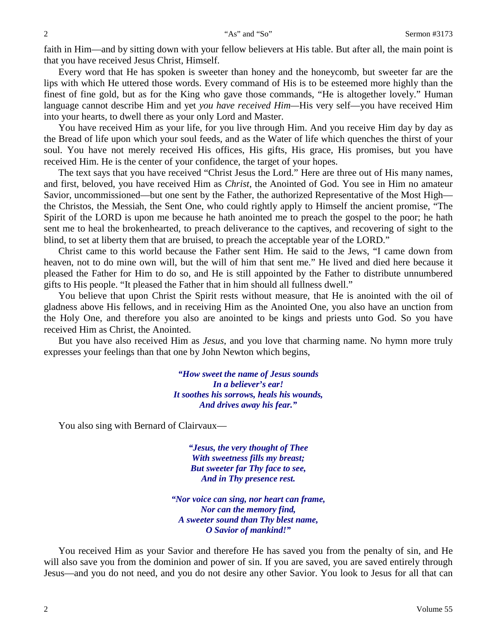faith in Him—and by sitting down with your fellow believers at His table. But after all, the main point is that you have received Jesus Christ, Himself.

Every word that He has spoken is sweeter than honey and the honeycomb, but sweeter far are the lips with which He uttered those words. Every command of His is to be esteemed more highly than the finest of fine gold, but as for the King who gave those commands, "He is altogether lovely." Human language cannot describe Him and yet *you have received Him—*His very self—you have received Him into your hearts, to dwell there as your only Lord and Master.

You have received Him as your life, for you live through Him. And you receive Him day by day as the Bread of life upon which your soul feeds, and as the Water of life which quenches the thirst of your soul. You have not merely received His offices, His gifts, His grace, His promises, but you have received Him. He is the center of your confidence, the target of your hopes.

The text says that you have received "Christ Jesus the Lord." Here are three out of His many names, and first, beloved, you have received Him as *Christ*, the Anointed of God. You see in Him no amateur Savior, uncommissioned—but one sent by the Father, the authorized Representative of the Most High the Christos, the Messiah, the Sent One, who could rightly apply to Himself the ancient promise, "The Spirit of the LORD is upon me because he hath anointed me to preach the gospel to the poor; he hath sent me to heal the brokenhearted, to preach deliverance to the captives, and recovering of sight to the blind, to set at liberty them that are bruised, to preach the acceptable year of the LORD."

Christ came to this world because the Father sent Him. He said to the Jews, "I came down from heaven, not to do mine own will, but the will of him that sent me." He lived and died here because it pleased the Father for Him to do so, and He is still appointed by the Father to distribute unnumbered gifts to His people. "It pleased the Father that in him should all fullness dwell."

You believe that upon Christ the Spirit rests without measure, that He is anointed with the oil of gladness above His fellows, and in receiving Him as the Anointed One, you also have an unction from the Holy One, and therefore you also are anointed to be kings and priests unto God. So you have received Him as Christ, the Anointed.

But you have also received Him as *Jesus*, and you love that charming name. No hymn more truly expresses your feelings than that one by John Newton which begins,

> *"How sweet the name of Jesus sounds In a believer's ear! It soothes his sorrows, heals his wounds, And drives away his fear."*

You also sing with Bernard of Clairvaux—

*"Jesus, the very thought of Thee With sweetness fills my breast; But sweeter far Thy face to see, And in Thy presence rest.*

*"Nor voice can sing, nor heart can frame, Nor can the memory find, A sweeter sound than Thy blest name, O Savior of mankind!"*

You received Him as your Savior and therefore He has saved you from the penalty of sin, and He will also save you from the dominion and power of sin. If you are saved, you are saved entirely through Jesus—and you do not need, and you do not desire any other Savior. You look to Jesus for all that can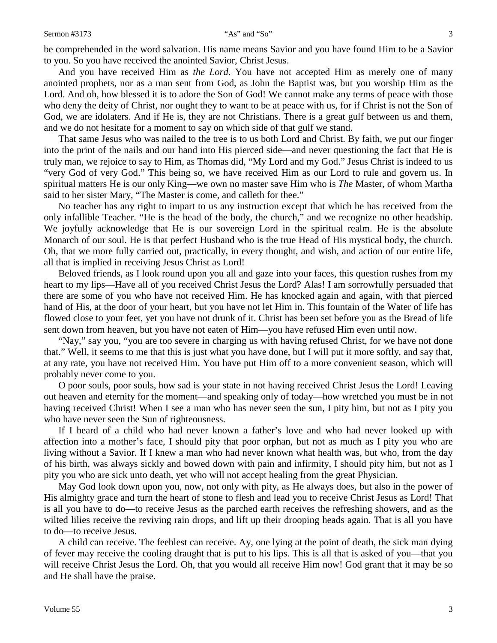be comprehended in the word salvation. His name means Savior and you have found Him to be a Savior to you. So you have received the anointed Savior, Christ Jesus.

And you have received Him as *the Lord*. You have not accepted Him as merely one of many anointed prophets, nor as a man sent from God, as John the Baptist was, but you worship Him as the Lord. And oh, how blessed it is to adore the Son of God! We cannot make any terms of peace with those who deny the deity of Christ, nor ought they to want to be at peace with us, for if Christ is not the Son of God, we are idolaters. And if He is, they are not Christians. There is a great gulf between us and them, and we do not hesitate for a moment to say on which side of that gulf we stand.

That same Jesus who was nailed to the tree is to us both Lord and Christ. By faith, we put our finger into the print of the nails and our hand into His pierced side—and never questioning the fact that He is truly man, we rejoice to say to Him, as Thomas did, "My Lord and my God." Jesus Christ is indeed to us "very God of very God." This being so, we have received Him as our Lord to rule and govern us. In spiritual matters He is our only King—we own no master save Him who is *The* Master, of whom Martha said to her sister Mary, "The Master is come, and calleth for thee."

No teacher has any right to impart to us any instruction except that which he has received from the only infallible Teacher. "He is the head of the body, the church," and we recognize no other headship. We joyfully acknowledge that He is our sovereign Lord in the spiritual realm. He is the absolute Monarch of our soul. He is that perfect Husband who is the true Head of His mystical body, the church. Oh, that we more fully carried out, practically, in every thought, and wish, and action of our entire life, all that is implied in receiving Jesus Christ as Lord!

Beloved friends, as I look round upon you all and gaze into your faces, this question rushes from my heart to my lips—Have all of you received Christ Jesus the Lord? Alas! I am sorrowfully persuaded that there are some of you who have not received Him. He has knocked again and again, with that pierced hand of His, at the door of your heart, but you have not let Him in. This fountain of the Water of life has flowed close to your feet, yet you have not drunk of it. Christ has been set before you as the Bread of life sent down from heaven, but you have not eaten of Him—you have refused Him even until now.

"Nay," say you, "you are too severe in charging us with having refused Christ, for we have not done that." Well, it seems to me that this is just what you have done, but I will put it more softly, and say that, at any rate, you have not received Him. You have put Him off to a more convenient season, which will probably never come to you.

O poor souls, poor souls, how sad is your state in not having received Christ Jesus the Lord! Leaving out heaven and eternity for the moment—and speaking only of today—how wretched you must be in not having received Christ! When I see a man who has never seen the sun, I pity him, but not as I pity you who have never seen the Sun of righteousness.

If I heard of a child who had never known a father's love and who had never looked up with affection into a mother's face, I should pity that poor orphan, but not as much as I pity you who are living without a Savior. If I knew a man who had never known what health was, but who, from the day of his birth, was always sickly and bowed down with pain and infirmity, I should pity him, but not as I pity you who are sick unto death, yet who will not accept healing from the great Physician.

May God look down upon you, now, not only with pity, as He always does, but also in the power of His almighty grace and turn the heart of stone to flesh and lead you to receive Christ Jesus as Lord! That is all you have to do—to receive Jesus as the parched earth receives the refreshing showers, and as the wilted lilies receive the reviving rain drops, and lift up their drooping heads again. That is all you have to do—to receive Jesus.

A child can receive. The feeblest can receive. Ay, one lying at the point of death, the sick man dying of fever may receive the cooling draught that is put to his lips. This is all that is asked of you—that you will receive Christ Jesus the Lord. Oh, that you would all receive Him now! God grant that it may be so and He shall have the praise.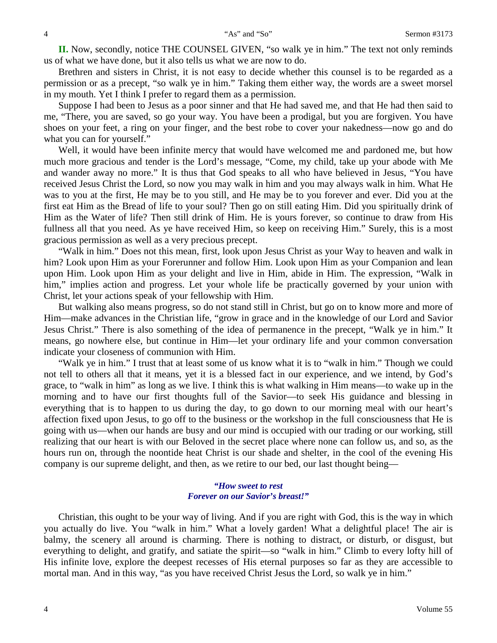**II.** Now, secondly, notice THE COUNSEL GIVEN, "so walk ye in him." The text not only reminds us of what we have done, but it also tells us what we are now to do.

Brethren and sisters in Christ, it is not easy to decide whether this counsel is to be regarded as a permission or as a precept, "so walk ye in him." Taking them either way, the words are a sweet morsel in my mouth. Yet I think I prefer to regard them as a permission.

Suppose I had been to Jesus as a poor sinner and that He had saved me, and that He had then said to me, "There, you are saved, so go your way. You have been a prodigal, but you are forgiven. You have shoes on your feet, a ring on your finger, and the best robe to cover your nakedness—now go and do what you can for yourself."

Well, it would have been infinite mercy that would have welcomed me and pardoned me, but how much more gracious and tender is the Lord's message, "Come, my child, take up your abode with Me and wander away no more." It is thus that God speaks to all who have believed in Jesus, "You have received Jesus Christ the Lord, so now you may walk in him and you may always walk in him. What He was to you at the first, He may be to you still, and He may be to you forever and ever. Did you at the first eat Him as the Bread of life to your soul? Then go on still eating Him. Did you spiritually drink of Him as the Water of life? Then still drink of Him. He is yours forever, so continue to draw from His fullness all that you need. As ye have received Him, so keep on receiving Him." Surely, this is a most gracious permission as well as a very precious precept.

"Walk in him." Does not this mean, first, look upon Jesus Christ as your Way to heaven and walk in him? Look upon Him as your Forerunner and follow Him. Look upon Him as your Companion and lean upon Him. Look upon Him as your delight and live in Him, abide in Him. The expression, "Walk in him," implies action and progress. Let your whole life be practically governed by your union with Christ, let your actions speak of your fellowship with Him.

But walking also means progress, so do not stand still in Christ, but go on to know more and more of Him—make advances in the Christian life, "grow in grace and in the knowledge of our Lord and Savior Jesus Christ." There is also something of the idea of permanence in the precept, "Walk ye in him." It means, go nowhere else, but continue in Him—let your ordinary life and your common conversation indicate your closeness of communion with Him.

"Walk ye in him." I trust that at least some of us know what it is to "walk in him." Though we could not tell to others all that it means, yet it is a blessed fact in our experience, and we intend, by God's grace, to "walk in him" as long as we live. I think this is what walking in Him means—to wake up in the morning and to have our first thoughts full of the Savior—to seek His guidance and blessing in everything that is to happen to us during the day, to go down to our morning meal with our heart's affection fixed upon Jesus, to go off to the business or the workshop in the full consciousness that He is going with us—when our hands are busy and our mind is occupied with our trading or our working, still realizing that our heart is with our Beloved in the secret place where none can follow us, and so, as the hours run on, through the noontide heat Christ is our shade and shelter, in the cool of the evening His company is our supreme delight, and then, as we retire to our bed, our last thought being—

#### *"How sweet to rest Forever on our Savior's breast!"*

Christian, this ought to be your way of living. And if you are right with God, this is the way in which you actually do live. You "walk in him." What a lovely garden! What a delightful place! The air is balmy, the scenery all around is charming. There is nothing to distract, or disturb, or disgust, but everything to delight, and gratify, and satiate the spirit—so "walk in him." Climb to every lofty hill of His infinite love, explore the deepest recesses of His eternal purposes so far as they are accessible to mortal man. And in this way, "as you have received Christ Jesus the Lord, so walk ye in him."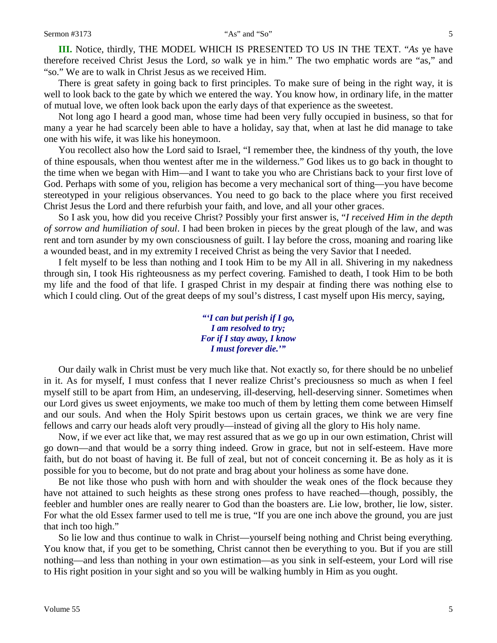**III.** Notice, thirdly, THE MODEL WHICH IS PRESENTED TO US IN THE TEXT. "*As* ye have therefore received Christ Jesus the Lord, *so* walk ye in him." The two emphatic words are "as," and "so." We are to walk in Christ Jesus as we received Him.

There is great safety in going back to first principles. To make sure of being in the right way, it is well to look back to the gate by which we entered the way. You know how, in ordinary life, in the matter of mutual love, we often look back upon the early days of that experience as the sweetest.

Not long ago I heard a good man, whose time had been very fully occupied in business, so that for many a year he had scarcely been able to have a holiday, say that, when at last he did manage to take one with his wife, it was like his honeymoon.

You recollect also how the Lord said to Israel, "I remember thee, the kindness of thy youth, the love of thine espousals, when thou wentest after me in the wilderness." God likes us to go back in thought to the time when we began with Him—and I want to take you who are Christians back to your first love of God. Perhaps with some of you, religion has become a very mechanical sort of thing—you have become stereotyped in your religious observances. You need to go back to the place where you first received Christ Jesus the Lord and there refurbish your faith, and love, and all your other graces.

So I ask you, how did you receive Christ? Possibly your first answer is, "*I received Him in the depth of sorrow and humiliation of soul*. I had been broken in pieces by the great plough of the law, and was rent and torn asunder by my own consciousness of guilt. I lay before the cross, moaning and roaring like a wounded beast, and in my extremity I received Christ as being the very Savior that I needed.

I felt myself to be less than nothing and I took Him to be my All in all. Shivering in my nakedness through sin, I took His righteousness as my perfect covering. Famished to death, I took Him to be both my life and the food of that life. I grasped Christ in my despair at finding there was nothing else to which I could cling. Out of the great deeps of my soul's distress, I cast myself upon His mercy, saying,

> *"'I can but perish if I go, I am resolved to try; For if I stay away, I know I must forever die.'"*

Our daily walk in Christ must be very much like that. Not exactly so, for there should be no unbelief in it. As for myself, I must confess that I never realize Christ's preciousness so much as when I feel myself still to be apart from Him, an undeserving, ill-deserving, hell-deserving sinner. Sometimes when our Lord gives us sweet enjoyments, we make too much of them by letting them come between Himself and our souls. And when the Holy Spirit bestows upon us certain graces, we think we are very fine fellows and carry our heads aloft very proudly—instead of giving all the glory to His holy name.

Now, if we ever act like that, we may rest assured that as we go up in our own estimation, Christ will go down—and that would be a sorry thing indeed. Grow in grace, but not in self-esteem. Have more faith, but do not boast of having it. Be full of zeal, but not of conceit concerning it. Be as holy as it is possible for you to become, but do not prate and brag about your holiness as some have done.

Be not like those who push with horn and with shoulder the weak ones of the flock because they have not attained to such heights as these strong ones profess to have reached—though, possibly, the feebler and humbler ones are really nearer to God than the boasters are. Lie low, brother, lie low, sister. For what the old Essex farmer used to tell me is true, "If you are one inch above the ground, you are just that inch too high."

So lie low and thus continue to walk in Christ—yourself being nothing and Christ being everything. You know that, if you get to be something, Christ cannot then be everything to you. But if you are still nothing—and less than nothing in your own estimation—as you sink in self-esteem, your Lord will rise to His right position in your sight and so you will be walking humbly in Him as you ought.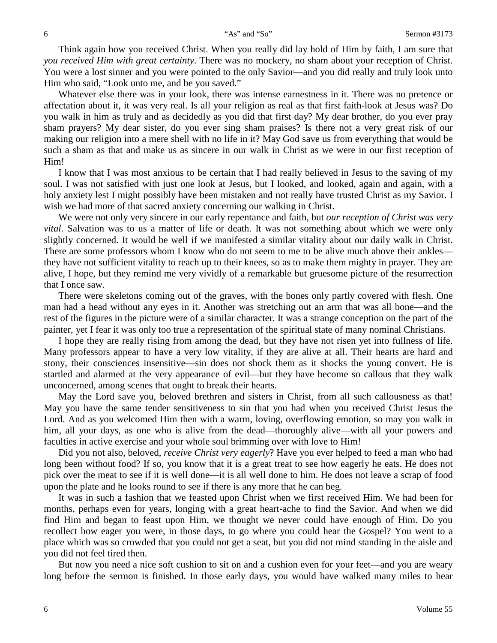Think again how you received Christ. When you really did lay hold of Him by faith, I am sure that *you received Him with great certainty*. There was no mockery, no sham about your reception of Christ. You were a lost sinner and you were pointed to the only Savior—and you did really and truly look unto Him who said, "Look unto me, and be you saved."

Whatever else there was in your look, there was intense earnestness in it. There was no pretence or affectation about it, it was very real. Is all your religion as real as that first faith-look at Jesus was? Do you walk in him as truly and as decidedly as you did that first day? My dear brother, do you ever pray sham prayers? My dear sister, do you ever sing sham praises? Is there not a very great risk of our making our religion into a mere shell with no life in it? May God save us from everything that would be such a sham as that and make us as sincere in our walk in Christ as we were in our first reception of Him!

I know that I was most anxious to be certain that I had really believed in Jesus to the saving of my soul. I was not satisfied with just one look at Jesus, but I looked, and looked, again and again, with a holy anxiety lest I might possibly have been mistaken and not really have trusted Christ as my Savior. I wish we had more of that sacred anxiety concerning our walking in Christ.

We were not only very sincere in our early repentance and faith, but *our reception of Christ was very vital*. Salvation was to us a matter of life or death. It was not something about which we were only slightly concerned. It would be well if we manifested a similar vitality about our daily walk in Christ. There are some professors whom I know who do not seem to me to be alive much above their ankles they have not sufficient vitality to reach up to their knees, so as to make them mighty in prayer. They are alive, I hope, but they remind me very vividly of a remarkable but gruesome picture of the resurrection that I once saw.

There were skeletons coming out of the graves, with the bones only partly covered with flesh. One man had a head without any eyes in it. Another was stretching out an arm that was all bone—and the rest of the figures in the picture were of a similar character. It was a strange conception on the part of the painter, yet I fear it was only too true a representation of the spiritual state of many nominal Christians.

I hope they are really rising from among the dead, but they have not risen yet into fullness of life. Many professors appear to have a very low vitality, if they are alive at all. Their hearts are hard and stony, their consciences insensitive—sin does not shock them as it shocks the young convert. He is startled and alarmed at the very appearance of evil—but they have become so callous that they walk unconcerned, among scenes that ought to break their hearts.

May the Lord save you, beloved brethren and sisters in Christ, from all such callousness as that! May you have the same tender sensitiveness to sin that you had when you received Christ Jesus the Lord. And as you welcomed Him then with a warm, loving, overflowing emotion, so may you walk in him, all your days, as one who is alive from the dead—thoroughly alive—with all your powers and faculties in active exercise and your whole soul brimming over with love to Him!

Did you not also, beloved, *receive Christ very eagerly*? Have you ever helped to feed a man who had long been without food? If so, you know that it is a great treat to see how eagerly he eats. He does not pick over the meat to see if it is well done—it is all well done to him. He does not leave a scrap of food upon the plate and he looks round to see if there is any more that he can beg.

It was in such a fashion that we feasted upon Christ when we first received Him. We had been for months, perhaps even for years, longing with a great heart-ache to find the Savior. And when we did find Him and began to feast upon Him, we thought we never could have enough of Him. Do you recollect how eager you were, in those days, to go where you could hear the Gospel? You went to a place which was so crowded that you could not get a seat, but you did not mind standing in the aisle and you did not feel tired then.

But now you need a nice soft cushion to sit on and a cushion even for your feet—and you are weary long before the sermon is finished. In those early days, you would have walked many miles to hear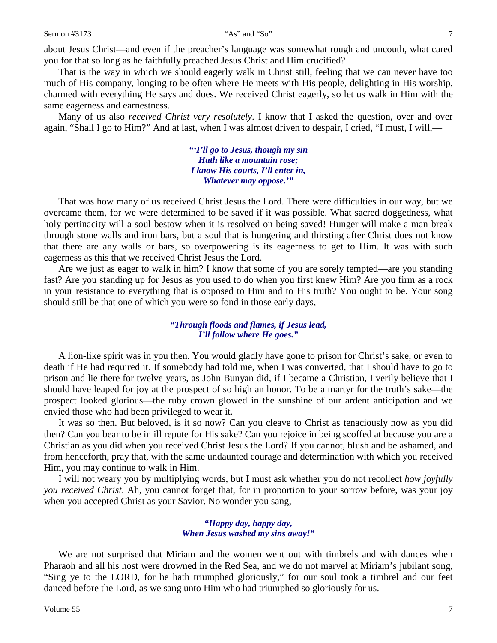about Jesus Christ—and even if the preacher's language was somewhat rough and uncouth, what cared you for that so long as he faithfully preached Jesus Christ and Him crucified?

That is the way in which we should eagerly walk in Christ still, feeling that we can never have too much of His company, longing to be often where He meets with His people, delighting in His worship, charmed with everything He says and does. We received Christ eagerly, so let us walk in Him with the same eagerness and earnestness.

Many of us also *received Christ very resolutely*. I know that I asked the question, over and over again, "Shall I go to Him?" And at last, when I was almost driven to despair, I cried, "I must, I will,—

> *"'I'll go to Jesus, though my sin Hath like a mountain rose; I know His courts, I'll enter in, Whatever may oppose.'"*

That was how many of us received Christ Jesus the Lord. There were difficulties in our way, but we overcame them, for we were determined to be saved if it was possible. What sacred doggedness, what holy pertinacity will a soul bestow when it is resolved on being saved! Hunger will make a man break through stone walls and iron bars, but a soul that is hungering and thirsting after Christ does not know that there are any walls or bars, so overpowering is its eagerness to get to Him. It was with such eagerness as this that we received Christ Jesus the Lord.

Are we just as eager to walk in him? I know that some of you are sorely tempted—are you standing fast? Are you standing up for Jesus as you used to do when you first knew Him? Are you firm as a rock in your resistance to everything that is opposed to Him and to His truth? You ought to be. Your song should still be that one of which you were so fond in those early days,—

#### *"Through floods and flames, if Jesus lead, I'll follow where He goes."*

A lion-like spirit was in you then. You would gladly have gone to prison for Christ's sake, or even to death if He had required it. If somebody had told me, when I was converted, that I should have to go to prison and lie there for twelve years, as John Bunyan did, if I became a Christian, I verily believe that I should have leaped for joy at the prospect of so high an honor. To be a martyr for the truth's sake—the prospect looked glorious—the ruby crown glowed in the sunshine of our ardent anticipation and we envied those who had been privileged to wear it.

It was so then. But beloved, is it so now? Can you cleave to Christ as tenaciously now as you did then? Can you bear to be in ill repute for His sake? Can you rejoice in being scoffed at because you are a Christian as you did when you received Christ Jesus the Lord? If you cannot, blush and be ashamed, and from henceforth, pray that, with the same undaunted courage and determination with which you received Him, you may continue to walk in Him.

I will not weary you by multiplying words, but I must ask whether you do not recollect *how joyfully you received Christ*. Ah, you cannot forget that, for in proportion to your sorrow before, was your joy when you accepted Christ as your Savior. No wonder you sang,—

#### *"Happy day, happy day, When Jesus washed my sins away!"*

We are not surprised that Miriam and the women went out with timbrels and with dances when Pharaoh and all his host were drowned in the Red Sea, and we do not marvel at Miriam's jubilant song, "Sing ye to the LORD, for he hath triumphed gloriously," for our soul took a timbrel and our feet danced before the Lord, as we sang unto Him who had triumphed so gloriously for us.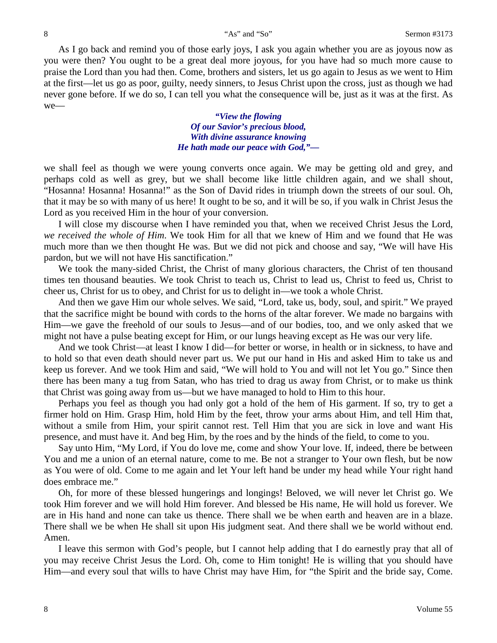As I go back and remind you of those early joys, I ask you again whether you are as joyous now as you were then? You ought to be a great deal more joyous, for you have had so much more cause to praise the Lord than you had then. Come, brothers and sisters, let us go again to Jesus as we went to Him at the first—let us go as poor, guilty, needy sinners, to Jesus Christ upon the cross, just as though we had never gone before. If we do so, I can tell you what the consequence will be, just as it was at the first. As we—

> *"View the flowing Of our Savior's precious blood, With divine assurance knowing He hath made our peace with God,"—*

we shall feel as though we were young converts once again. We may be getting old and grey, and perhaps cold as well as grey, but we shall become like little children again, and we shall shout, "Hosanna! Hosanna! Hosanna!" as the Son of David rides in triumph down the streets of our soul. Oh, that it may be so with many of us here! It ought to be so, and it will be so, if you walk in Christ Jesus the Lord as you received Him in the hour of your conversion.

I will close my discourse when I have reminded you that, when we received Christ Jesus the Lord, *we received the whole of Him*. We took Him for all that we knew of Him and we found that He was much more than we then thought He was. But we did not pick and choose and say, "We will have His pardon, but we will not have His sanctification."

We took the many-sided Christ, the Christ of many glorious characters, the Christ of ten thousand times ten thousand beauties. We took Christ to teach us, Christ to lead us, Christ to feed us, Christ to cheer us, Christ for us to obey, and Christ for us to delight in—we took a whole Christ.

And then we gave Him our whole selves. We said, "Lord, take us, body, soul, and spirit." We prayed that the sacrifice might be bound with cords to the horns of the altar forever. We made no bargains with Him—we gave the freehold of our souls to Jesus—and of our bodies, too, and we only asked that we might not have a pulse beating except for Him, or our lungs heaving except as He was our very life.

And we took Christ—at least I know I did—for better or worse, in health or in sickness, to have and to hold so that even death should never part us. We put our hand in His and asked Him to take us and keep us forever. And we took Him and said, "We will hold to You and will not let You go." Since then there has been many a tug from Satan, who has tried to drag us away from Christ, or to make us think that Christ was going away from us—but we have managed to hold to Him to this hour.

Perhaps you feel as though you had only got a hold of the hem of His garment. If so, try to get a firmer hold on Him. Grasp Him, hold Him by the feet, throw your arms about Him, and tell Him that, without a smile from Him, your spirit cannot rest. Tell Him that you are sick in love and want His presence, and must have it. And beg Him, by the roes and by the hinds of the field, to come to you.

Say unto Him, "My Lord, if You do love me, come and show Your love. If, indeed, there be between You and me a union of an eternal nature, come to me. Be not a stranger to Your own flesh, but be now as You were of old. Come to me again and let Your left hand be under my head while Your right hand does embrace me."

Oh, for more of these blessed hungerings and longings! Beloved, we will never let Christ go. We took Him forever and we will hold Him forever. And blessed be His name, He will hold us forever. We are in His hand and none can take us thence. There shall we be when earth and heaven are in a blaze. There shall we be when He shall sit upon His judgment seat. And there shall we be world without end. Amen.

I leave this sermon with God's people, but I cannot help adding that I do earnestly pray that all of you may receive Christ Jesus the Lord. Oh, come to Him tonight! He is willing that you should have Him—and every soul that wills to have Christ may have Him, for "the Spirit and the bride say, Come.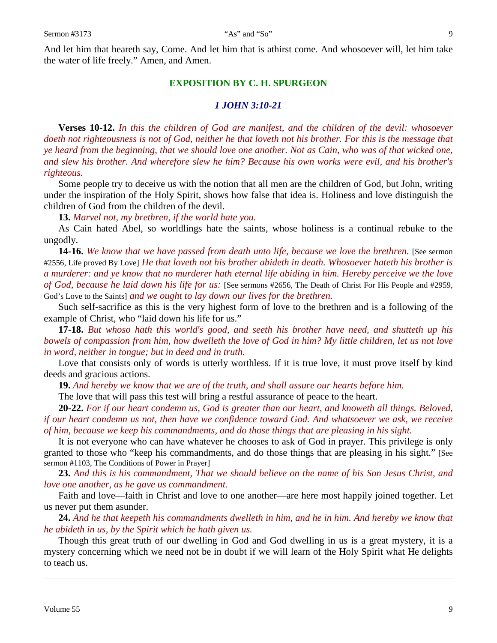And let him that heareth say, Come. And let him that is athirst come. And whosoever will, let him take the water of life freely." Amen, and Amen.

### **EXPOSITION BY C. H. SPURGEON**

#### *1 JOHN 3:10-21*

**Verses 10-12.** *In this the children of God are manifest, and the children of the devil: whosoever doeth not righteousness is not of God, neither he that loveth not his brother. For this is the message that ye heard from the beginning, that we should love one another. Not as Cain, who was of that wicked one, and slew his brother. And wherefore slew he him? Because his own works were evil, and his brother's righteous.*

Some people try to deceive us with the notion that all men are the children of God, but John, writing under the inspiration of the Holy Spirit, shows how false that idea is. Holiness and love distinguish the children of God from the children of the devil.

**13.** *Marvel not, my brethren, if the world hate you.*

As Cain hated Abel, so worldlings hate the saints, whose holiness is a continual rebuke to the ungodly.

**14-16.** *We know that we have passed from death unto life, because we love the brethren.* [See sermon #2556, Life proved By Love] *He that loveth not his brother abideth in death. Whosoever hateth his brother is a murderer: and ye know that no murderer hath eternal life abiding in him. Hereby perceive we the love of God, because he laid down his life for us:* [See sermons #2656, The Death of Christ For His People and #2959, God's Love to the Saints] *and we ought to lay down our lives for the brethren.* 

Such self-sacrifice as this is the very highest form of love to the brethren and is a following of the example of Christ, who "laid down his life for us."

**17-18.** *But whoso hath this world's good, and seeth his brother have need, and shutteth up his bowels of compassion from him, how dwelleth the love of God in him? My little children, let us not love in word, neither in tongue; but in deed and in truth.*

Love that consists only of words is utterly worthless. If it is true love, it must prove itself by kind deeds and gracious actions.

**19.** *And hereby we know that we are of the truth, and shall assure our hearts before him.*

The love that will pass this test will bring a restful assurance of peace to the heart.

**20-22.** *For if our heart condemn us, God is greater than our heart, and knoweth all things. Beloved, if our heart condemn us not, then have we confidence toward God. And whatsoever we ask, we receive of him, because we keep his commandments, and do those things that are pleasing in his sight.*

It is not everyone who can have whatever he chooses to ask of God in prayer. This privilege is only granted to those who "keep his commandments, and do those things that are pleasing in his sight." [See sermon #1103, The Conditions of Power in Prayer]

**23.** *And this is his commandment, That we should believe on the name of his Son Jesus Christ, and love one another, as he gave us commandment.*

Faith and love—faith in Christ and love to one another—are here most happily joined together. Let us never put them asunder.

**24.** *And he that keepeth his commandments dwelleth in him, and he in him. And hereby we know that he abideth in us, by the Spirit which he hath given us.*

Though this great truth of our dwelling in God and God dwelling in us is a great mystery, it is a mystery concerning which we need not be in doubt if we will learn of the Holy Spirit what He delights to teach us.